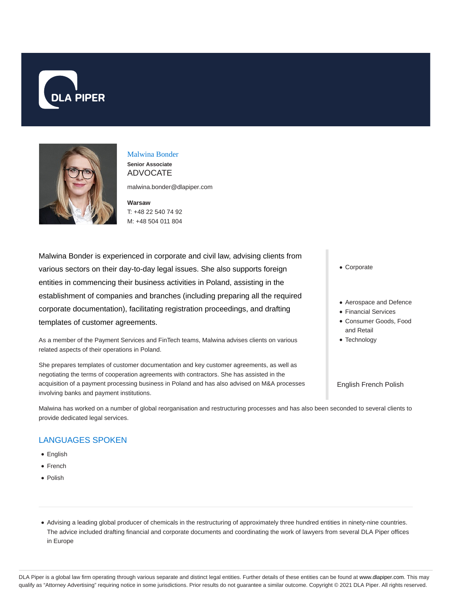



## Malwina Bonder **Senior Associate**

ADVOCATE

malwina.bonder@dlapiper.com

**Warsaw** T: +48 22 540 74 92 M: +48 504 011 804

Malwina Bonder is experienced in corporate and civil law, advising clients from various sectors on their day-to-day legal issues. She also supports foreign entities in commencing their business activities in Poland, assisting in the establishment of companies and branches (including preparing all the required corporate documentation), facilitating registration proceedings, and drafting templates of customer agreements.

As a member of the Payment Services and FinTech teams, Malwina advises clients on various related aspects of their operations in Poland.

She prepares templates of customer documentation and key customer agreements, as well as negotiating the terms of cooperation agreements with contractors. She has assisted in the acquisition of a payment processing business in Poland and has also advised on M&A processes involving banks and payment institutions.

Corporate

- Aerospace and Defence
- Financial Services
- Consumer Goods, Food and Retail
- Technology

English French Polish

Malwina has worked on a number of global reorganisation and restructuring processes and has also been seconded to several clients to provide dedicated legal services.

## LANGUAGES SPOKEN

- English
- French
- Polish

Advising a leading global producer of chemicals in the restructuring of approximately three hundred entities in ninety-nine countries. The advice included drafting financial and corporate documents and coordinating the work of lawyers from several DLA Piper offices in Europe

DLA Piper is a global law firm operating through various separate and distinct legal entities. Further details of these entities can be found at www.dlapiper.com. This may qualify as "Attorney Advertising" requiring notice in some jurisdictions. Prior results do not guarantee a similar outcome. Copyright © 2021 DLA Piper. All rights reserved.